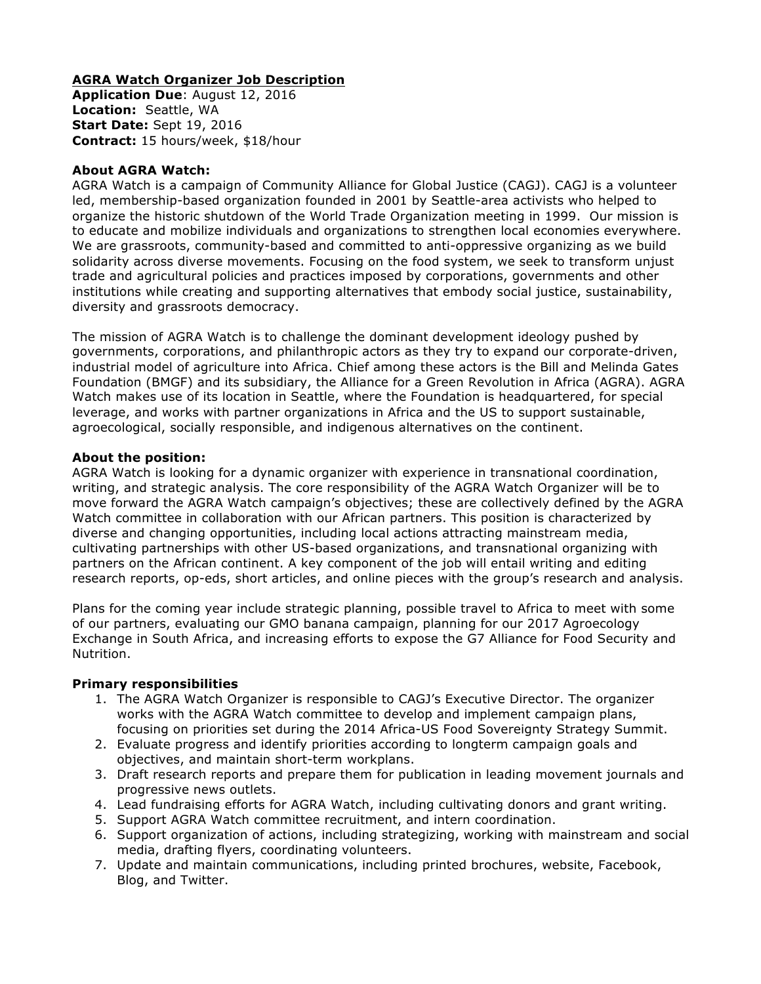# **AGRA Watch Organizer Job Description**

**Application Due**: August 12, 2016 **Location:** Seattle, WA **Start Date:** Sept 19, 2016 **Contract:** 15 hours/week, \$18/hour

### **About AGRA Watch:**

AGRA Watch is a campaign of Community Alliance for Global Justice (CAGJ). CAGJ is a volunteer led, membership-based organization founded in 2001 by Seattle-area activists who helped to organize the historic shutdown of the World Trade Organization meeting in 1999. Our mission is to educate and mobilize individuals and organizations to strengthen local economies everywhere. We are grassroots, community-based and committed to anti-oppressive organizing as we build solidarity across diverse movements. Focusing on the food system, we seek to transform unjust trade and agricultural policies and practices imposed by corporations, governments and other institutions while creating and supporting alternatives that embody social justice, sustainability, diversity and grassroots democracy.

The mission of AGRA Watch is to challenge the dominant development ideology pushed by governments, corporations, and philanthropic actors as they try to expand our corporate-driven, industrial model of agriculture into Africa. Chief among these actors is the Bill and Melinda Gates Foundation (BMGF) and its subsidiary, the Alliance for a Green Revolution in Africa (AGRA). AGRA Watch makes use of its location in Seattle, where the Foundation is headquartered, for special leverage, and works with partner organizations in Africa and the US to support sustainable, agroecological, socially responsible, and indigenous alternatives on the continent.

# **About the position:**

AGRA Watch is looking for a dynamic organizer with experience in transnational coordination, writing, and strategic analysis. The core responsibility of the AGRA Watch Organizer will be to move forward the AGRA Watch campaign's objectives; these are collectively defined by the AGRA Watch committee in collaboration with our African partners. This position is characterized by diverse and changing opportunities, including local actions attracting mainstream media, cultivating partnerships with other US-based organizations, and transnational organizing with partners on the African continent. A key component of the job will entail writing and editing research reports, op-eds, short articles, and online pieces with the group's research and analysis.

Plans for the coming year include strategic planning, possible travel to Africa to meet with some of our partners, evaluating our GMO banana campaign, planning for our 2017 Agroecology Exchange in South Africa, and increasing efforts to expose the G7 Alliance for Food Security and Nutrition.

#### **Primary responsibilities**

- 1. The AGRA Watch Organizer is responsible to CAGJ's Executive Director. The organizer works with the AGRA Watch committee to develop and implement campaign plans, focusing on priorities set during the 2014 Africa-US Food Sovereignty Strategy Summit.
- 2. Evaluate progress and identify priorities according to longterm campaign goals and objectives, and maintain short-term workplans.
- 3. Draft research reports and prepare them for publication in leading movement journals and progressive news outlets.
- 4. Lead fundraising efforts for AGRA Watch, including cultivating donors and grant writing.
- 5. Support AGRA Watch committee recruitment, and intern coordination.
- 6. Support organization of actions, including strategizing, working with mainstream and social media, drafting flyers, coordinating volunteers.
- 7. Update and maintain communications, including printed brochures, website, Facebook, Blog, and Twitter.